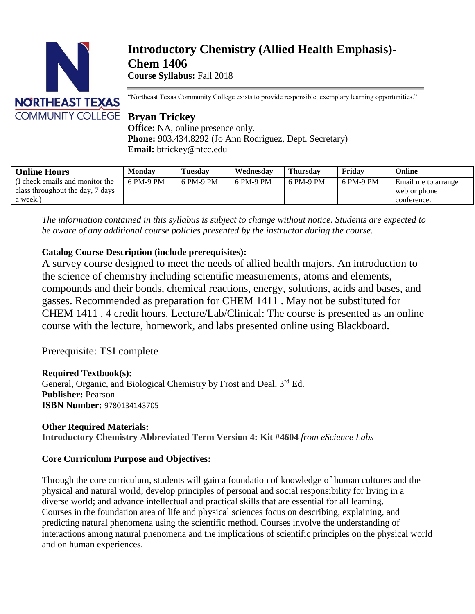

# **Introductory Chemistry (Allied Health Emphasis)- Chem 1406**

**Course Syllabus:** Fall 2018

"Northeast Texas Community College exists to provide responsible, exemplary learning opportunities."

**Office:** NA, online presence only. **Phone:** 903.434.8292 (Jo Ann Rodriguez, Dept. Secretary) **Email:** btrickey@ntcc.edu

| <b>Online Hours</b>                                                            | <b>Monday</b> | <b>Tuesday</b> | Wednesday | <b>Thursday</b> | Friday    | Online                                             |
|--------------------------------------------------------------------------------|---------------|----------------|-----------|-----------------|-----------|----------------------------------------------------|
| I check emails and monitor the<br>class throughout the day, 7 days<br>a week.) | 6 PM-9 PM     | 6 PM-9 PM      | 6 PM-9 PM | 6 PM-9 PM       | 6 PM-9 PM | Email me to arrange<br>web or phone<br>conference. |

*The information contained in this syllabus is subject to change without notice. Students are expected to be aware of any additional course policies presented by the instructor during the course.*

# **Catalog Course Description (include prerequisites):**

A survey course designed to meet the needs of allied health majors. An introduction to the science of chemistry including scientific measurements, atoms and elements, compounds and their bonds, chemical reactions, energy, solutions, acids and bases, and gasses. Recommended as preparation for CHEM 1411 . May not be substituted for CHEM 1411 . 4 credit hours. Lecture/Lab/Clinical: The course is presented as an online course with the lecture, homework, and labs presented online using Blackboard.

Prerequisite: TSI complete

# **Required Textbook(s):**

General, Organic, and Biological Chemistry by Frost and Deal, 3<sup>rd</sup> Ed. **Publisher:** Pearson **ISBN Number:** 9780134143705

# **Other Required Materials: Introductory Chemistry Abbreviated Term Version 4: Kit #4604** *from eScience Labs*

# **Core Curriculum Purpose and Objectives:**

Through the core curriculum, students will gain a foundation of knowledge of human cultures and the physical and natural world; develop principles of personal and social responsibility for living in a diverse world; and advance intellectual and practical skills that are essential for all learning. Courses in the foundation area of life and physical sciences focus on describing, explaining, and predicting natural phenomena using the scientific method. Courses involve the understanding of interactions among natural phenomena and the implications of scientific principles on the physical world and on human experiences.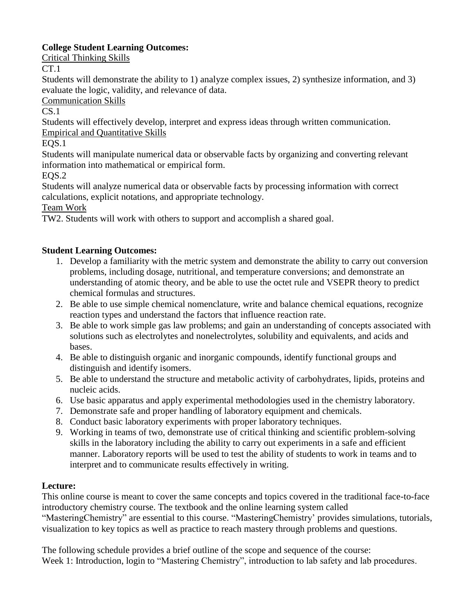# **College Student Learning Outcomes:**

Critical Thinking Skills

CT.1

Students will demonstrate the ability to 1) analyze complex issues, 2) synthesize information, and 3) evaluate the logic, validity, and relevance of data.

Communication Skills

 $CS.1$ 

Students will effectively develop, interpret and express ideas through written communication.

Empirical and Quantitative Skills

EQS.1

Students will manipulate numerical data or observable facts by organizing and converting relevant information into mathematical or empirical form.

EQS.2

Students will analyze numerical data or observable facts by processing information with correct calculations, explicit notations, and appropriate technology.

Team Work

TW2. Students will work with others to support and accomplish a shared goal.

# **Student Learning Outcomes:**

- 1. Develop a familiarity with the metric system and demonstrate the ability to carry out conversion problems, including dosage, nutritional, and temperature conversions; and demonstrate an understanding of atomic theory, and be able to use the octet rule and VSEPR theory to predict chemical formulas and structures.
- 2. Be able to use simple chemical nomenclature, write and balance chemical equations, recognize reaction types and understand the factors that influence reaction rate.
- 3. Be able to work simple gas law problems; and gain an understanding of concepts associated with solutions such as electrolytes and nonelectrolytes, solubility and equivalents, and acids and bases.
- 4. Be able to distinguish organic and inorganic compounds, identify functional groups and distinguish and identify isomers.
- 5. Be able to understand the structure and metabolic activity of carbohydrates, lipids, proteins and nucleic acids.
- 6. Use basic apparatus and apply experimental methodologies used in the chemistry laboratory.
- 7. Demonstrate safe and proper handling of laboratory equipment and chemicals.
- 8. Conduct basic laboratory experiments with proper laboratory techniques.
- 9. Working in teams of two, demonstrate use of critical thinking and scientific problem-solving skills in the laboratory including the ability to carry out experiments in a safe and efficient manner. Laboratory reports will be used to test the ability of students to work in teams and to interpret and to communicate results effectively in writing.

# **Lecture:**

This online course is meant to cover the same concepts and topics covered in the traditional face-to-face introductory chemistry course. The textbook and the online learning system called

"MasteringChemistry" are essential to this course. "MasteringChemistry' provides simulations, tutorials, visualization to key topics as well as practice to reach mastery through problems and questions.

The following schedule provides a brief outline of the scope and sequence of the course: Week 1: Introduction, login to "Mastering Chemistry", introduction to lab safety and lab procedures.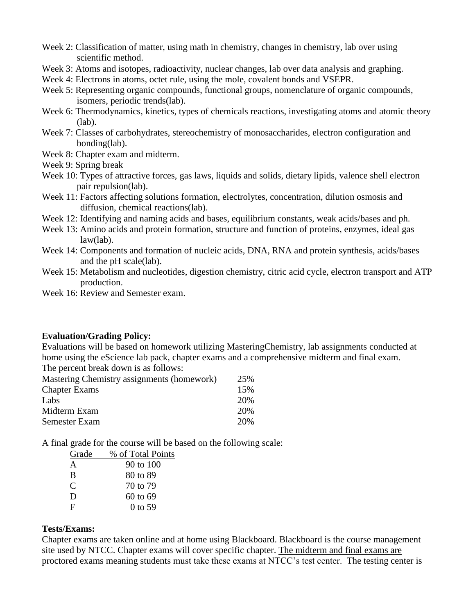- Week 2: Classification of matter, using math in chemistry, changes in chemistry, lab over using scientific method.
- Week 3: Atoms and isotopes, radioactivity, nuclear changes, lab over data analysis and graphing.
- Week 4: Electrons in atoms, octet rule, using the mole, covalent bonds and VSEPR.
- Week 5: Representing organic compounds, functional groups, nomenclature of organic compounds, isomers, periodic trends(lab).
- Week 6: Thermodynamics, kinetics, types of chemicals reactions, investigating atoms and atomic theory (lab).
- Week 7: Classes of carbohydrates, stereochemistry of monosaccharides, electron configuration and bonding(lab).
- Week 8: Chapter exam and midterm.
- Week 9: Spring break
- Week 10: Types of attractive forces, gas laws, liquids and solids, dietary lipids, valence shell electron pair repulsion(lab).
- Week 11: Factors affecting solutions formation, electrolytes, concentration, dilution osmosis and diffusion, chemical reactions(lab).
- Week 12: Identifying and naming acids and bases, equilibrium constants, weak acids/bases and ph.
- Week 13: Amino acids and protein formation, structure and function of proteins, enzymes, ideal gas law(lab).
- Week 14: Components and formation of nucleic acids, DNA, RNA and protein synthesis, acids/bases and the pH scale(lab).
- Week 15: Metabolism and nucleotides, digestion chemistry, citric acid cycle, electron transport and ATP production.
- Week 16: Review and Semester exam.

#### **Evaluation/Grading Policy:**

Evaluations will be based on homework utilizing MasteringChemistry, lab assignments conducted at home using the eScience lab pack, chapter exams and a comprehensive midterm and final exam. The percent break down is as follows:

| Mastering Chemistry assignments (homework) | 25% |
|--------------------------------------------|-----|
| <b>Chapter Exams</b>                       | 15% |
| Labs                                       | 20% |
| Midterm Exam                               | 20% |
| Semester Exam                              | 20% |

A final grade for the course will be based on the following scale:

| Grade         | % of Total Points |
|---------------|-------------------|
| A             | 90 to 100         |
| B             | 80 to 89          |
| $\mathcal{C}$ | 70 to 79          |
| D             | 60 to 69          |
| F             | 0 to 59           |
|               |                   |

#### **Tests/Exams:**

Chapter exams are taken online and at home using Blackboard. Blackboard is the course management site used by NTCC. Chapter exams will cover specific chapter. The midterm and final exams are proctored exams meaning students must take these exams at NTCC's test center. The testing center is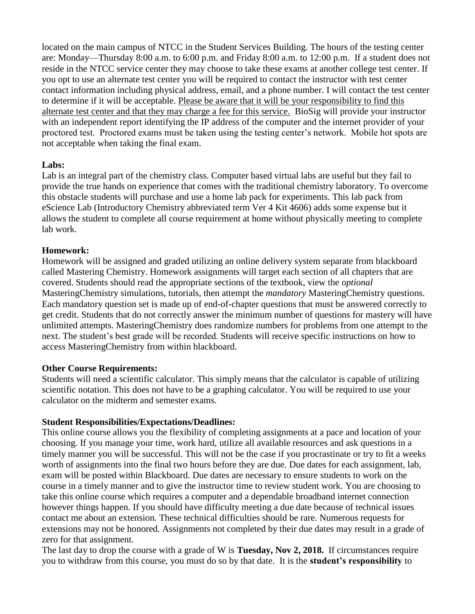located on the main campus of NTCC in the Student Services Building. The hours of the testing center are: Monday—Thursday 8:00 a.m. to 6:00 p.m. and Friday 8:00 a.m. to 12:00 p.m. If a student does not reside in the NTCC service center they may choose to take these exams at another college test center. If you opt to use an alternate test center you will be required to contact the instructor with test center contact information including physical address, email, and a phone number. I will contact the test center to determine if it will be acceptable. Please be aware that it will be your responsibility to find this alternate test center and that they may charge a fee for this service. BioSig will provide your instructor with an independent report identifying the IP address of the computer and the internet provider of your proctored test. Proctored exams must be taken using the testing center's network. Mobile hot spots are not acceptable when taking the final exam.

### **Labs:**

Lab is an integral part of the chemistry class. Computer based virtual labs are useful but they fail to provide the true hands on experience that comes with the traditional chemistry laboratory. To overcome this obstacle students will purchase and use a home lab pack for experiments. This lab pack from eScience Lab (Introductory Chemistry abbreviated term Ver 4 Kit 4606) adds some expense but it allows the student to complete all course requirement at home without physically meeting to complete lab work.

#### **Homework:**

Homework will be assigned and graded utilizing an online delivery system separate from blackboard called Mastering Chemistry. Homework assignments will target each section of all chapters that are covered. Students should read the appropriate sections of the textbook, view the *optional* MasteringChemistry simulations, tutorials, then attempt the *mandatory* MasteringChemistry questions. Each mandatory question set is made up of end-of-chapter questions that must be answered correctly to get credit. Students that do not correctly answer the minimum number of questions for mastery will have unlimited attempts. MasteringChemistry does randomize numbers for problems from one attempt to the next. The student's best grade will be recorded. Students will receive specific instructions on how to access MasteringChemistry from within blackboard.

#### **Other Course Requirements:**

Students will need a scientific calculator. This simply means that the calculator is capable of utilizing scientific notation. This does not have to be a graphing calculator. You will be required to use your calculator on the midterm and semester exams.

#### **Student Responsibilities/Expectations/Deadlines:**

This online course allows you the flexibility of completing assignments at a pace and location of your choosing. If you manage your time, work hard, utilize all available resources and ask questions in a timely manner you will be successful. This will not be the case if you procrastinate or try to fit a weeks worth of assignments into the final two hours before they are due. Due dates for each assignment, lab, exam will be posted within Blackboard. Due dates are necessary to ensure students to work on the course in a timely manner and to give the instructor time to review student work. You are choosing to take this online course which requires a computer and a dependable broadband internet connection however things happen. If you should have difficulty meeting a due date because of technical issues contact me about an extension. These technical difficulties should be rare. Numerous requests for extensions may not be honored. Assignments not completed by their due dates may result in a grade of zero for that assignment.

The last day to drop the course with a grade of W is **Tuesday, Nov 2, 2018.** If circumstances require you to withdraw from this course, you must do so by that date. It is the **student's responsibility** to